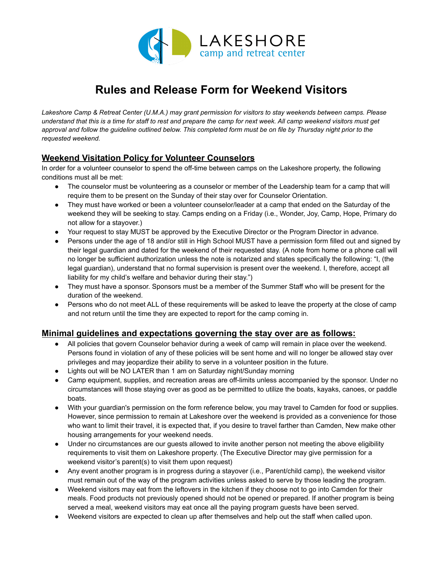

# **Rules and Release Form for Weekend Visitors**

*Lakeshore Camp & Retreat Center (U.M.A.) may grant permission for visitors to stay weekends between camps. Please understand that this is a time for staff to rest and prepare the camp for next week. All camp weekend visitors must get approval and follow the guideline outlined below. This completed form must be on file by Thursday night prior to the requested weekend.*

# **Weekend Visitation Policy for Volunteer Counselors**

In order for a volunteer counselor to spend the off-time between camps on the Lakeshore property, the following conditions must all be met:

- The counselor must be volunteering as a counselor or member of the Leadership team for a camp that will require them to be present on the Sunday of their stay over for Counselor Orientation.
- They must have worked or been a volunteer counselor/leader at a camp that ended on the Saturday of the weekend they will be seeking to stay. Camps ending on a Friday (i.e., Wonder, Joy, Camp, Hope, Primary do not allow for a stayover.)
- Your request to stay MUST be approved by the Executive Director or the Program Director in advance.
- Persons under the age of 18 and/or still in High School MUST have a permission form filled out and signed by their legal guardian and dated for the weekend of their requested stay. (A note from home or a phone call will no longer be sufficient authorization unless the note is notarized and states specifically the following: "I, (the legal guardian), understand that no formal supervision is present over the weekend. I, therefore, accept all liability for my child's welfare and behavior during their stay.")
- They must have a sponsor. Sponsors must be a member of the Summer Staff who will be present for the duration of the weekend.
- Persons who do not meet ALL of these requirements will be asked to leave the property at the close of camp and not return until the time they are expected to report for the camp coming in.

## **Minimal guidelines and expectations governing the stay over are as follows:**

- All policies that govern Counselor behavior during a week of camp will remain in place over the weekend. Persons found in violation of any of these policies will be sent home and will no longer be allowed stay over privileges and may jeopardize their ability to serve in a volunteer position in the future.
- Lights out will be NO LATER than 1 am on Saturday night/Sunday morning
- Camp equipment, supplies, and recreation areas are off-limits unless accompanied by the sponsor. Under no circumstances will those staying over as good as be permitted to utilize the boats, kayaks, canoes, or paddle boats.
- With your guardian's permission on the form reference below, you may travel to Camden for food or supplies. However, since permission to remain at Lakeshore over the weekend is provided as a convenience for those who want to limit their travel, it is expected that, if you desire to travel farther than Camden, New make other housing arrangements for your weekend needs.
- Under no circumstances are our guests allowed to invite another person not meeting the above eligibility requirements to visit them on Lakeshore property. (The Executive Director may give permission for a weekend visitor's parent(s) to visit them upon request)
- Any event another program is in progress during a stayover (i.e., Parent/child camp), the weekend visitor must remain out of the way of the program activities unless asked to serve by those leading the program.
- Weekend visitors may eat from the leftovers in the kitchen if they choose not to go into Camden for their meals. Food products not previously opened should not be opened or prepared. If another program is being served a meal, weekend visitors may eat once all the paying program guests have been served.
- Weekend visitors are expected to clean up after themselves and help out the staff when called upon.